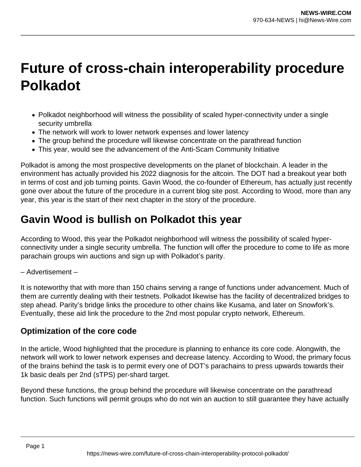## **Future of cross-chain interoperability procedure Polkadot**

- Polkadot neighborhood will witness the possibility of scaled hyper-connectivity under a single security umbrella
- The network will work to lower network expenses and lower latency
- The group behind the procedure will likewise concentrate on the parathread function
- This year, would see the advancement of the Anti-Scam Community Initiative

Polkadot is among the most prospective developments on the planet of blockchain. A leader in the environment has actually provided his 2022 diagnosis for the altcoin. The DOT had a breakout year both in terms of cost and job turning points. Gavin Wood, the co-founder of Ethereum, has actually just recently gone over about the future of the procedure in a current blog site post. According to Wood, more than any year, this year is the start of their next chapter in the story of the procedure.

## **Gavin Wood is bullish on Polkadot this year**

According to Wood, this year the Polkadot neighborhood will witness the possibility of scaled hyperconnectivity under a single security umbrella. The function will offer the procedure to come to life as more parachain groups win auctions and sign up with Polkadot's parity.

– Advertisement –

It is noteworthy that with more than 150 chains serving a range of functions under advancement. Much of them are currently dealing with their testnets. Polkadot likewise has the facility of decentralized bridges to step ahead. Parity's bridge links the procedure to other chains like Kusama, and later on Snowfork's. Eventually, these aid link the procedure to the 2nd most popular crypto network, Ethereum.

## **Optimization of the core code**

In the article, Wood highlighted that the procedure is planning to enhance its core code. Alongwith, the network will work to lower network expenses and decrease latency. According to Wood, the primary focus of the brains behind the task is to permit every one of DOT's parachains to press upwards towards their 1k basic deals per 2nd (sTPS) per-shard target.

Beyond these functions, the group behind the procedure will likewise concentrate on the parathread function. Such functions will permit groups who do not win an auction to still guarantee they have actually